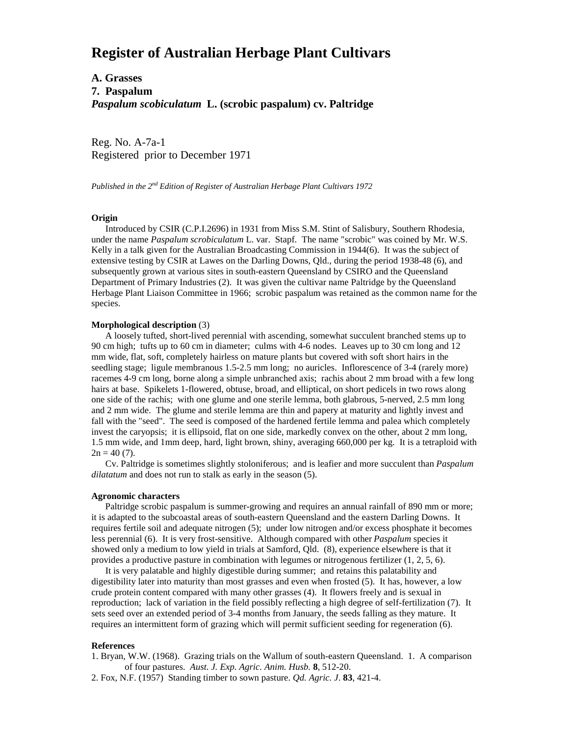# **Register of Australian Herbage Plant Cultivars**

## **A. Grasses 7. Paspalum** *Paspalum scobiculatum* **L. (scrobic paspalum) cv. Paltridge**

Reg. No. A-7a-1 Registered prior to December 1971

*Published in the 2nd Edition of Register of Australian Herbage Plant Cultivars 1972*

#### **Origin**

 Introduced by CSIR (C.P.I.2696) in 1931 from Miss S.M. Stint of Salisbury, Southern Rhodesia, under the name *Paspalum scrobiculatum* L. var. Stapf. The name "scrobic" was coined by Mr. W.S. Kelly in a talk given for the Australian Broadcasting Commission in 1944(6). It was the subject of extensive testing by CSIR at Lawes on the Darling Downs, Qld., during the period 1938-48 (6), and subsequently grown at various sites in south-eastern Queensland by CSIRO and the Queensland Department of Primary Industries (2). It was given the cultivar name Paltridge by the Queensland Herbage Plant Liaison Committee in 1966; scrobic paspalum was retained as the common name for the species.

#### **Morphological description** (3)

 A loosely tufted, short-lived perennial with ascending, somewhat succulent branched stems up to 90 cm high; tufts up to 60 cm in diameter; culms with 4-6 nodes. Leaves up to 30 cm long and 12 mm wide, flat, soft, completely hairless on mature plants but covered with soft short hairs in the seedling stage; ligule membranous 1.5-2.5 mm long; no auricles. Inflorescence of 3-4 (rarely more) racemes 4-9 cm long, borne along a simple unbranched axis; rachis about 2 mm broad with a few long hairs at base. Spikelets 1-flowered, obtuse, broad, and elliptical, on short pedicels in two rows along one side of the rachis; with one glume and one sterile lemma, both glabrous, 5-nerved, 2.5 mm long and 2 mm wide. The glume and sterile lemma are thin and papery at maturity and lightly invest and fall with the "seed". The seed is composed of the hardened fertile lemma and palea which completely invest the caryopsis; it is ellipsoid, flat on one side, markedly convex on the other, about 2 mm long, 1.5 mm wide, and 1mm deep, hard, light brown, shiny, averaging 660,000 per kg. It is a tetraploid with  $2n = 40 (7)$ .

 Cv. Paltridge is sometimes slightly stoloniferous; and is leafier and more succulent than *Paspalum dilatatum* and does not run to stalk as early in the season (5).

### **Agronomic characters**

 Paltridge scrobic paspalum is summer-growing and requires an annual rainfall of 890 mm or more; it is adapted to the subcoastal areas of south-eastern Queensland and the eastern Darling Downs. It requires fertile soil and adequate nitrogen (5); under low nitrogen and/or excess phosphate it becomes less perennial (6). It is very frost-sensitive. Although compared with other *Paspalum* species it showed only a medium to low yield in trials at Samford, Qld. (8), experience elsewhere is that it provides a productive pasture in combination with legumes or nitrogenous fertilizer (1, 2, 5, 6).

 It is very palatable and highly digestible during summer; and retains this palatability and digestibility later into maturity than most grasses and even when frosted (5). It has, however, a low crude protein content compared with many other grasses (4). It flowers freely and is sexual in reproduction; lack of variation in the field possibly reflecting a high degree of self-fertilization (7). It sets seed over an extended period of 3-4 months from January, the seeds falling as they mature. It requires an intermittent form of grazing which will permit sufficient seeding for regeneration (6).

#### **References**

1. Bryan, W.W. (1968). Grazing trials on the Wallum of south-eastern Queensland. 1. A comparison of four pastures. *Aust. J. Exp. Agric. Anim. Husb.* **8**, 512-20.

2. Fox, N.F. (1957) Standing timber to sown pasture. *Qd. Agric. J*. **83**, 421-4.